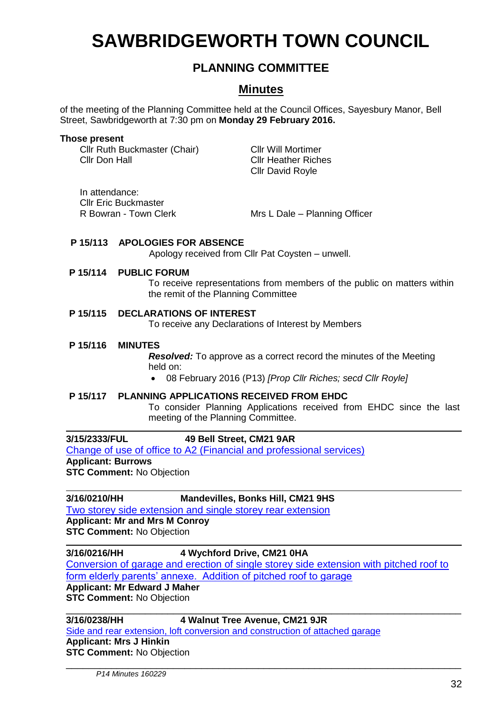# **SAWBRIDGEWORTH TOWN COUNCIL**

# **PLANNING COMMITTEE**

# **Minutes**

of the meeting of the Planning Committee held at the Council Offices, Sayesbury Manor, Bell Street, Sawbridgeworth at 7:30 pm on **Monday 29 February 2016.**

#### **Those present**

Cllr Ruth Buckmaster (Chair) Cllr Will Mortimer Cllr Don Hall Cllr Heather Riches

Cllr David Royle

In attendance: Cllr Eric Buckmaster

R Bowran - Town Clerk Mrs L Dale – Planning Officer

#### **P 15/113 APOLOGIES FOR ABSENCE**

Apology received from Cllr Pat Coysten – unwell.

#### **P 15/114 PUBLIC FORUM**

To receive representations from members of the public on matters within the remit of the Planning Committee

#### **P 15/115 DECLARATIONS OF INTEREST**

To receive any Declarations of Interest by Members

#### **P 15/116 MINUTES**

*Resolved:* To approve as a correct record the minutes of the Meeting held on:

08 February 2016 (P13) *[Prop Cllr Riches; secd Cllr Royle]*

#### **P 15/117 PLANNING APPLICATIONS RECEIVED FROM EHDC**

To consider Planning Applications received from EHDC since the last meeting of the Planning Committee.

### **3/15/2333/FUL 49 Bell Street, CM21 9AR**

[Change of use of office to A2 \(Financial and](https://publicaccess.eastherts.gov.uk/online-applications/applicationDetails.do?activeTab=summary&keyVal=NY9Z4VGLHP800) professional services) **Applicant: Burrows STC Comment:** No Objection

#### **3/16/0210/HH Mandevilles, Bonks Hill, CM21 9HS**

[Two storey side extension and single storey rear extension](https://publicaccess.eastherts.gov.uk/online-applications/applicationDetails.do?activeTab=summary&keyVal=O1PFN3GLIGB00) **Applicant: Mr and Mrs M Conroy STC Comment:** No Objection

#### **3/16/0216/HH 4 Wychford Drive, CM21 0HA**

[Conversion of garage and erection of single storey side extension with pitched roof to](https://publicaccess.eastherts.gov.uk/online-applications/applicationDetails.do?activeTab=summary&keyVal=O1Q1VMGLIGP00)  [form elderly parents' annexe. Addition of pitched roof to garage](https://publicaccess.eastherts.gov.uk/online-applications/applicationDetails.do?activeTab=summary&keyVal=O1Q1VMGLIGP00)

# **Applicant: Mr Edward J Maher**

**STC Comment:** No Objection \_\_\_\_\_\_\_\_\_\_\_\_\_\_\_\_\_\_\_\_\_\_\_\_\_\_\_\_\_\_\_\_\_\_\_\_\_\_\_\_\_\_\_\_\_\_\_\_\_\_\_\_\_\_\_\_\_\_\_\_\_\_\_\_\_\_\_\_\_\_

**3/16/0238/HH 4 Walnut Tree Avenue, CM21 9JR**

\_\_\_\_\_\_\_\_\_\_\_\_\_\_\_\_\_\_\_\_\_\_\_\_\_\_\_\_\_\_\_\_\_\_\_\_\_\_\_\_\_\_\_\_\_\_\_\_\_\_\_\_\_\_\_\_\_\_\_\_\_\_\_\_\_\_\_\_\_\_

[Side and rear extension, loft conversion and construction of attached garage](https://publicaccess.eastherts.gov.uk/online-applications/applicationDetails.do?activeTab=summary&keyVal=O1VLV6GLIID00) **Applicant: Mrs J Hinkin STC Comment:** No Objection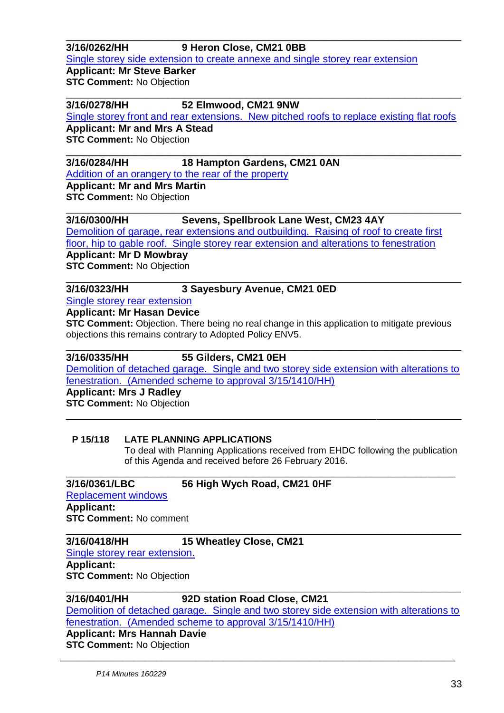## **3/16/0262/HH 9 Heron Close, CM21 0BB**

[Single storey side extension to create annexe and single storey rear extension](https://publicaccess.eastherts.gov.uk/online-applications/applicationDetails.do?activeTab=summary&keyVal=O215VJGLIJK00)

**Applicant: Mr Steve Barker STC Comment: No Objection** 

#### \_\_\_\_\_\_\_\_\_\_\_\_\_\_\_\_\_\_\_\_\_\_\_\_\_\_\_\_\_\_\_\_\_\_\_\_\_\_\_\_\_\_\_\_\_\_\_\_\_\_\_\_\_\_\_\_\_\_\_\_\_\_\_\_\_\_\_\_\_\_ **3/16/0278/HH 52 Elmwood, CM21 9NW**

[Single storey front and rear extensions. New pitched roofs to replace existing flat roofs](https://publicaccess.eastherts.gov.uk/online-applications/applicationDetails.do?activeTab=summary&keyVal=O230JNGLIKD00)

\_\_\_\_\_\_\_\_\_\_\_\_\_\_\_\_\_\_\_\_\_\_\_\_\_\_\_\_\_\_\_\_\_\_\_\_\_\_\_\_\_\_\_\_\_\_\_\_\_\_\_\_\_\_\_\_\_\_\_\_\_\_\_\_\_\_\_\_\_\_

\_\_\_\_\_\_\_\_\_\_\_\_\_\_\_\_\_\_\_\_\_\_\_\_\_\_\_\_\_\_\_\_\_\_\_\_\_\_\_\_\_\_\_\_\_\_\_\_\_\_\_\_\_\_\_\_\_\_\_\_\_\_\_\_\_\_\_\_\_\_

**Applicant: Mr and Mrs A Stead STC Comment:** No Objection

# **3/16/0284/HH 18 Hampton Gardens, CM21 0AN**

[Addition of an orangery to the rear of the property](https://publicaccess.eastherts.gov.uk/online-applications/applicationDetails.do?activeTab=summary&keyVal=O248Y4GLIKM00)

**Applicant: Mr and Mrs Martin STC Comment:** No Objection

#### \_\_\_\_\_\_\_\_\_\_\_\_\_\_\_\_\_\_\_\_\_\_\_\_\_\_\_\_\_\_\_\_\_\_\_\_\_\_\_\_\_\_\_\_\_\_\_\_\_\_\_\_\_\_\_\_\_\_\_\_\_\_\_\_\_\_\_\_\_\_ **3/16/0300/HH Sevens, Spellbrook Lane West, CM23 4AY**

[Demolition of garage, rear extensions and outbuilding. Raising of roof to create first](https://publicaccess.eastherts.gov.uk/online-applications/applicationDetails.do?activeTab=summary&keyVal=O28LRDGL00700) 

[floor, hip to gable roof. Single storey rear extension and alterations to fenestration](https://publicaccess.eastherts.gov.uk/online-applications/applicationDetails.do?activeTab=summary&keyVal=O28LRDGL00700)

**Applicant: Mr D Mowbray**

**STC Comment:** No Objection

#### \_\_\_\_\_\_\_\_\_\_\_\_\_\_\_\_\_\_\_\_\_\_\_\_\_\_\_\_\_\_\_\_\_\_\_\_\_\_\_\_\_\_\_\_\_\_\_\_\_\_\_\_\_\_\_\_\_\_\_\_\_\_\_\_\_\_\_\_\_\_ **3/16/0323/HH 3 Sayesbury Avenue, CM21 0ED**

[Single storey rear extension](https://publicaccess.eastherts.gov.uk/online-applications/applicationDetails.do?activeTab=summary&keyVal=O2BYR8GLIME00)

**Applicant: Mr Hasan Device**

**STC Comment:** Objection. There being no real change in this application to mitigate previous objections this remains contrary to Adopted Policy ENV5.

### **3/16/0335/HH 55 Gilders, CM21 0EH**

[Demolition of detached garage. Single and two storey side extension with alterations to](https://publicaccess.eastherts.gov.uk/online-applications/applicationDetails.do?activeTab=summary&keyVal=O2DOB2GL00700)  [fenestration. \(Amended scheme to approval 3/15/1410/HH\)](https://publicaccess.eastherts.gov.uk/online-applications/applicationDetails.do?activeTab=summary&keyVal=O2DOB2GL00700)

\_\_\_\_\_\_\_\_\_\_\_\_\_\_\_\_\_\_\_\_\_\_\_\_\_\_\_\_\_\_\_\_\_\_\_\_\_\_\_\_\_\_\_\_\_\_\_\_\_\_\_\_\_\_\_\_\_\_\_\_\_\_\_\_\_\_\_\_\_

\_\_\_\_\_\_\_\_\_\_\_\_\_\_\_\_\_\_\_\_\_\_\_\_\_\_\_\_\_\_\_\_\_\_\_\_\_\_\_\_\_\_\_\_\_\_\_\_\_\_\_\_\_\_\_\_\_\_\_\_\_\_\_\_\_\_\_\_\_\_

**Applicant: Mrs J Radley STC Comment: No Objection** \_\_\_\_\_\_\_\_\_\_\_\_\_\_\_\_\_\_\_\_\_\_\_\_\_\_\_\_\_\_\_\_\_\_\_\_\_\_\_\_\_\_\_\_\_\_\_\_\_\_\_\_\_\_\_\_\_\_\_\_\_\_\_\_\_\_\_\_\_\_

#### **P 15/118 LATE PLANNING APPLICATIONS**

To deal with Planning Applications received from EHDC following the publication of this Agenda and received before 26 February 2016.

### **3/16/0361/LBC 56 High Wych Road, CM21 0HF**

[Replacement windows](https://publicaccess.eastherts.gov.uk/online-applications/applicationDetails.do?activeTab=summary&keyVal=O2BYR8GLIME00) **Applicant: STC Comment:** No comment

#### \_\_\_\_\_\_\_\_\_\_\_\_\_\_\_\_\_\_\_\_\_\_\_\_\_\_\_\_\_\_\_\_\_\_\_\_\_\_\_\_\_\_\_\_\_\_\_\_\_\_\_\_\_\_\_\_\_\_\_\_\_\_\_\_\_\_\_\_\_\_ **3/16/0418/HH 15 Wheatley Close, CM21**

[Single storey rear extension.](https://publicaccess.eastherts.gov.uk/online-applications/applicationDetails.do?activeTab=summary&keyVal=O2DOB2GL00700)

**Applicant: STC Comment:** No Objection

### **3/16/0401/HH 92D station Road Close, CM21**

[Demolition of detached garage. Single and two storey side extension with alterations to](https://publicaccess.eastherts.gov.uk/online-applications/applicationDetails.do?activeTab=summary&keyVal=O2DOB2GL00700)  [fenestration. \(Amended scheme to approval 3/15/1410/HH\)](https://publicaccess.eastherts.gov.uk/online-applications/applicationDetails.do?activeTab=summary&keyVal=O2DOB2GL00700)

\_\_\_\_\_\_\_\_\_\_\_\_\_\_\_\_\_\_\_\_\_\_\_\_\_\_\_\_\_\_\_\_\_\_\_\_\_\_\_\_\_\_\_\_\_\_\_\_\_\_\_\_\_\_\_\_\_\_\_\_\_\_\_\_\_\_\_\_\_\_

# **Applicant: Mrs Hannah Davie**

**STC Comment:** No Objection \_\_\_\_\_\_\_\_\_\_\_\_\_\_\_\_\_\_\_\_\_\_\_\_\_\_\_\_\_\_\_\_\_\_\_\_\_\_\_\_\_\_\_\_\_\_\_\_\_\_\_\_\_\_\_\_\_\_\_\_\_\_\_\_\_\_\_\_\_\_